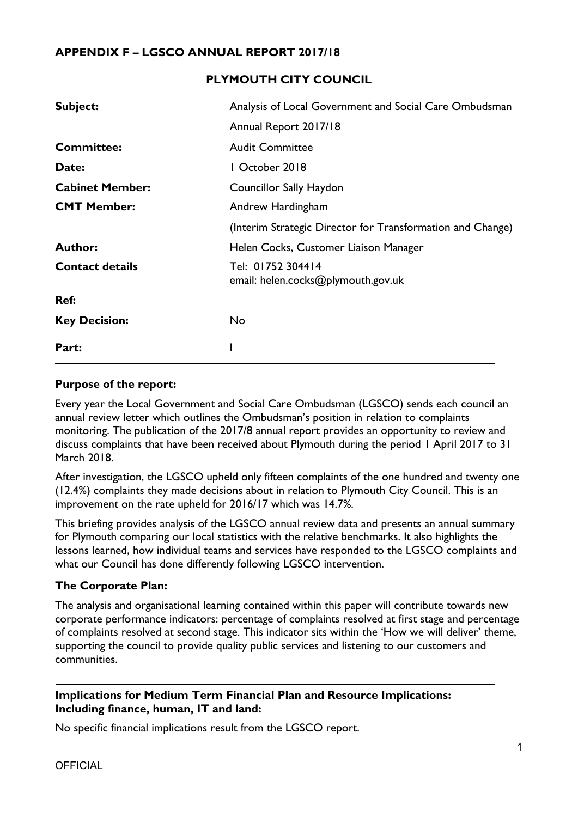#### **APPENDIX F – LGSCO ANNUAL REPORT 2017/18**

#### **PLYMOUTH CITY COUNCIL**

| Subject:               | Analysis of Local Government and Social Care Ombudsman     |
|------------------------|------------------------------------------------------------|
|                        | Annual Report 2017/18                                      |
| <b>Committee:</b>      | <b>Audit Committee</b>                                     |
| Date:                  | October 2018                                               |
| <b>Cabinet Member:</b> | <b>Councillor Sally Haydon</b>                             |
| <b>CMT Member:</b>     | Andrew Hardingham                                          |
|                        | (Interim Strategic Director for Transformation and Change) |
| <b>Author:</b>         | Helen Cocks, Customer Liaison Manager                      |
| <b>Contact details</b> | Tel: 01752 304414<br>email: helen.cocks@plymouth.gov.uk    |
| Ref:                   |                                                            |
| <b>Key Decision:</b>   | No                                                         |
| Part:                  |                                                            |

#### **Purpose of the report:**

Every year the Local Government and Social Care Ombudsman (LGSCO) sends each council an annual review letter which outlines the Ombudsman's position in relation to complaints monitoring. The publication of the 2017/8 annual report provides an opportunity to review and discuss complaints that have been received about Plymouth during the period 1 April 2017 to 31 March 2018.

After investigation, the LGSCO upheld only fifteen complaints of the one hundred and twenty one (12.4%) complaints they made decisions about in relation to Plymouth City Council. This is an improvement on the rate upheld for 2016/17 which was 14.7%.

This briefing provides analysis of the LGSCO annual review data and presents an annual summary for Plymouth comparing our local statistics with the relative benchmarks. It also highlights the lessons learned, how individual teams and services have responded to the LGSCO complaints and what our Council has done differently following LGSCO intervention.

#### **The Corporate Plan:**

The analysis and organisational learning contained within this paper will contribute towards new corporate performance indicators: percentage of complaints resolved at first stage and percentage of complaints resolved at second stage. This indicator sits within the 'How we will deliver' theme, supporting the council to provide quality public services and listening to our customers and communities.

#### **Implications for Medium Term Financial Plan and Resource Implications: Including finance, human, IT and land:**

No specific financial implications result from the LGSCO report.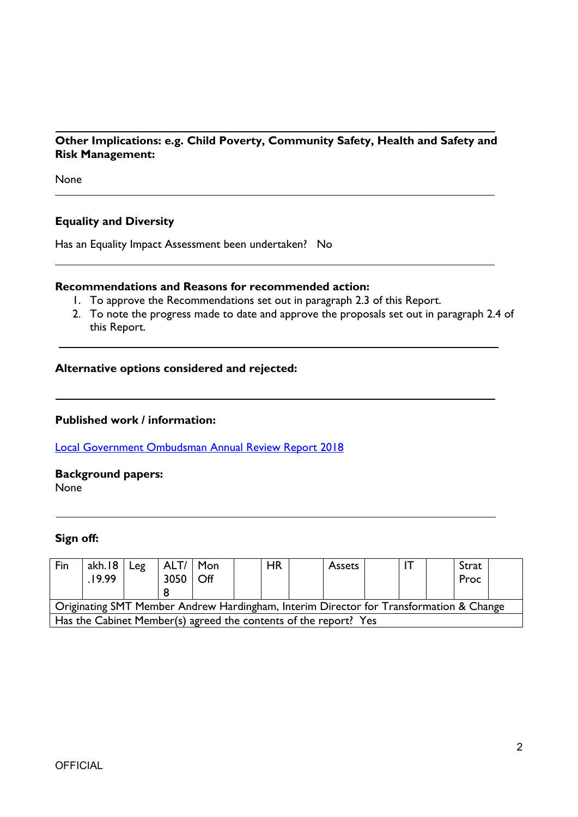#### **Other Implications: e.g. Child Poverty, Community Safety, Health and Safety and Risk Management:**

None

#### **Equality and Diversity**

Has an Equality Impact Assessment been undertaken? No

#### **Recommendations and Reasons for recommended action:**

- 1. To approve the Recommendations set out in paragraph 2.3 of this Report.
- 2. To note the progress made to date and approve the proposals set out in paragraph 2.4 of this Report.

#### **Alternative options considered and rejected:**

#### **Published work / information:**

Local [Government](https://www.lgo.org.uk/documents/councilperformance/2018/plymouth%20city%20council.pdf) Ombudsman Annual Review Report 2018

**Background papers:** None

#### **Sign off:**

| Fin                                                                                    | akh.18<br>.19.99 | Leg | ALT/   Mon<br>3050 | Off |  | <b>HR</b> |  | Assets |  |  |  | Strat<br>Proc |  |
|----------------------------------------------------------------------------------------|------------------|-----|--------------------|-----|--|-----------|--|--------|--|--|--|---------------|--|
| Originating SMT Member Andrew Hardingham, Interim Director for Transformation & Change |                  |     |                    |     |  |           |  |        |  |  |  |               |  |
| Has the Cabinet Member(s) agreed the contents of the report? Yes                       |                  |     |                    |     |  |           |  |        |  |  |  |               |  |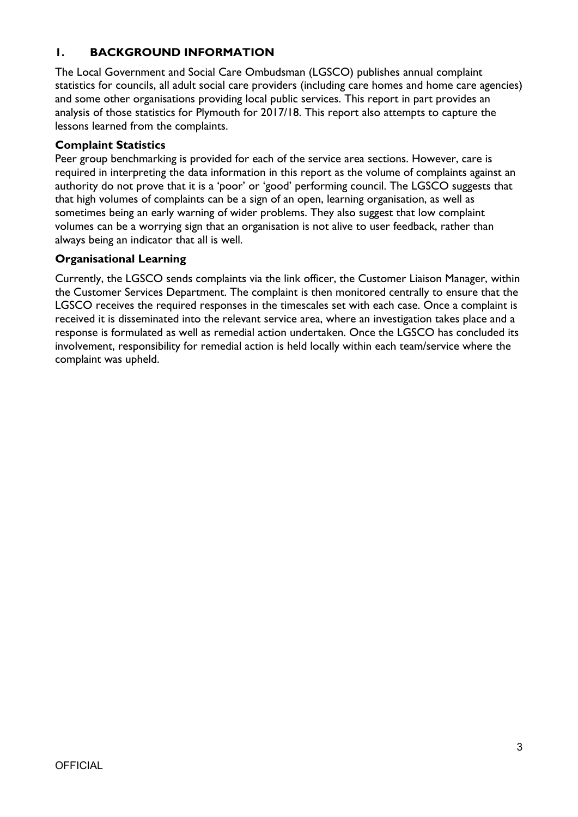### **1. BACKGROUND INFORMATION**

The Local Government and Social Care Ombudsman (LGSCO) publishes annual complaint statistics for councils, all adult social care providers (including care homes and home care agencies) and some other organisations providing local public services. This report in part provides an analysis of those statistics for Plymouth for 2017/18. This report also attempts to capture the lessons learned from the complaints.

#### **Complaint Statistics**

Peer group benchmarking is provided for each of the service area sections. However, care is required in interpreting the data information in this report as the volume of complaints against an authority do not prove that it is a 'poor' or 'good' performing council. The LGSCO suggests that that high volumes of complaints can be a sign of an open, learning organisation, as well as sometimes being an early warning of wider problems. They also suggest that low complaint volumes can be a worrying sign that an organisation is not alive to user feedback, rather than always being an indicator that all is well.

### **Organisational Learning**

Currently, the LGSCO sends complaints via the link officer, the Customer Liaison Manager, within the Customer Services Department. The complaint is then monitored centrally to ensure that the LGSCO receives the required responses in the timescales set with each case. Once a complaint is received it is disseminated into the relevant service area, where an investigation takes place and a response is formulated as well as remedial action undertaken. Once the LGSCO has concluded its involvement, responsibility for remedial action is held locally within each team/service where the complaint was upheld.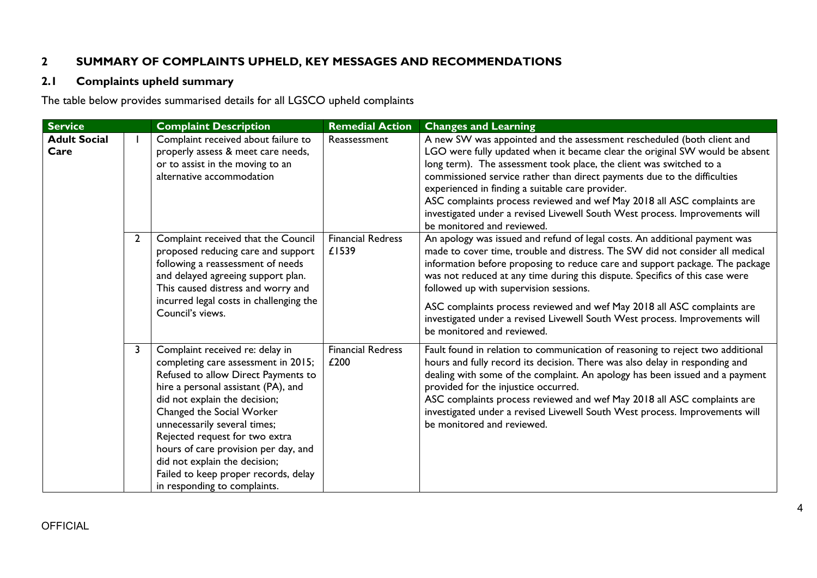### **2 SUMMARY OF COMPLAINTS UPHELD, KEY MESSAGES AND RECOMMENDATIONS**

### **2.1 Complaints upheld summary**

The table below provides summarised details for all LGSCO upheld complaints

| <b>Service</b>              |                | <b>Complaint Description</b>                                                                                                                                                                                                                                                                                                                                                                                                          | <b>Remedial Action</b>            | <b>Changes and Learning</b>                                                                                                                                                                                                                                                                                                                                                                                                                                                                                                                                   |
|-----------------------------|----------------|---------------------------------------------------------------------------------------------------------------------------------------------------------------------------------------------------------------------------------------------------------------------------------------------------------------------------------------------------------------------------------------------------------------------------------------|-----------------------------------|---------------------------------------------------------------------------------------------------------------------------------------------------------------------------------------------------------------------------------------------------------------------------------------------------------------------------------------------------------------------------------------------------------------------------------------------------------------------------------------------------------------------------------------------------------------|
| <b>Adult Social</b><br>Care |                | Complaint received about failure to<br>properly assess & meet care needs,<br>or to assist in the moving to an<br>alternative accommodation                                                                                                                                                                                                                                                                                            | Reassessment                      | A new SW was appointed and the assessment rescheduled (both client and<br>LGO were fully updated when it became clear the original SW would be absent<br>long term). The assessment took place, the client was switched to a<br>commissioned service rather than direct payments due to the difficulties<br>experienced in finding a suitable care provider.<br>ASC complaints process reviewed and wef May 2018 all ASC complaints are<br>investigated under a revised Livewell South West process. Improvements will<br>be monitored and reviewed.          |
|                             | $\overline{2}$ | Complaint received that the Council<br>proposed reducing care and support<br>following a reassessment of needs<br>and delayed agreeing support plan.<br>This caused distress and worry and<br>incurred legal costs in challenging the<br>Council's views.                                                                                                                                                                             | <b>Financial Redress</b><br>£1539 | An apology was issued and refund of legal costs. An additional payment was<br>made to cover time, trouble and distress. The SW did not consider all medical<br>information before proposing to reduce care and support package. The package<br>was not reduced at any time during this dispute. Specifics of this case were<br>followed up with supervision sessions.<br>ASC complaints process reviewed and wef May 2018 all ASC complaints are<br>investigated under a revised Livewell South West process. Improvements will<br>be monitored and reviewed. |
|                             | 3              | Complaint received re: delay in<br>completing care assessment in 2015;<br>Refused to allow Direct Payments to<br>hire a personal assistant (PA), and<br>did not explain the decision;<br>Changed the Social Worker<br>unnecessarily several times;<br>Rejected request for two extra<br>hours of care provision per day, and<br>did not explain the decision;<br>Failed to keep proper records, delay<br>in responding to complaints. | <b>Financial Redress</b><br>£200  | Fault found in relation to communication of reasoning to reject two additional<br>hours and fully record its decision. There was also delay in responding and<br>dealing with some of the complaint. An apology has been issued and a payment<br>provided for the injustice occurred.<br>ASC complaints process reviewed and wef May 2018 all ASC complaints are<br>investigated under a revised Livewell South West process. Improvements will<br>be monitored and reviewed.                                                                                 |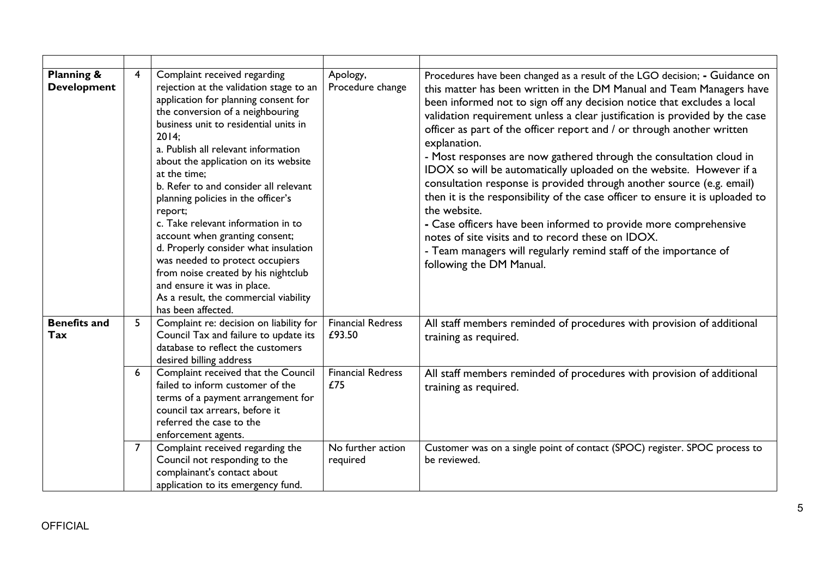| <b>Planning &amp;</b><br><b>Development</b> | 4              | Complaint received regarding<br>rejection at the validation stage to an<br>application for planning consent for<br>the conversion of a neighbouring<br>business unit to residential units in<br>2014;<br>a. Publish all relevant information<br>about the application on its website<br>at the time:<br>b. Refer to and consider all relevant<br>planning policies in the officer's<br>report;<br>c. Take relevant information in to<br>account when granting consent;<br>d. Properly consider what insulation<br>was needed to protect occupiers<br>from noise created by his nightclub<br>and ensure it was in place.<br>As a result, the commercial viability<br>has been affected. | Apology,<br>Procedure change       | Procedures have been changed as a result of the LGO decision; - Guidance on<br>this matter has been written in the DM Manual and Team Managers have<br>been informed not to sign off any decision notice that excludes a local<br>validation requirement unless a clear justification is provided by the case<br>officer as part of the officer report and / or through another written<br>explanation.<br>- Most responses are now gathered through the consultation cloud in<br>IDOX so will be automatically uploaded on the website. However if a<br>consultation response is provided through another source (e.g. email)<br>then it is the responsibility of the case officer to ensure it is uploaded to<br>the website.<br>- Case officers have been informed to provide more comprehensive<br>notes of site visits and to record these on IDOX.<br>- Team managers will regularly remind staff of the importance of<br>following the DM Manual. |
|---------------------------------------------|----------------|----------------------------------------------------------------------------------------------------------------------------------------------------------------------------------------------------------------------------------------------------------------------------------------------------------------------------------------------------------------------------------------------------------------------------------------------------------------------------------------------------------------------------------------------------------------------------------------------------------------------------------------------------------------------------------------|------------------------------------|----------------------------------------------------------------------------------------------------------------------------------------------------------------------------------------------------------------------------------------------------------------------------------------------------------------------------------------------------------------------------------------------------------------------------------------------------------------------------------------------------------------------------------------------------------------------------------------------------------------------------------------------------------------------------------------------------------------------------------------------------------------------------------------------------------------------------------------------------------------------------------------------------------------------------------------------------------|
| <b>Benefits and</b><br>Tax                  | 5              | Complaint re: decision on liability for<br>Council Tax and failure to update its<br>database to reflect the customers<br>desired billing address                                                                                                                                                                                                                                                                                                                                                                                                                                                                                                                                       | <b>Financial Redress</b><br>£93.50 | All staff members reminded of procedures with provision of additional<br>training as required.                                                                                                                                                                                                                                                                                                                                                                                                                                                                                                                                                                                                                                                                                                                                                                                                                                                           |
|                                             | 6              | Complaint received that the Council<br>failed to inform customer of the<br>terms of a payment arrangement for<br>council tax arrears, before it<br>referred the case to the<br>enforcement agents.                                                                                                                                                                                                                                                                                                                                                                                                                                                                                     | <b>Financial Redress</b><br>£75    | All staff members reminded of procedures with provision of additional<br>training as required.                                                                                                                                                                                                                                                                                                                                                                                                                                                                                                                                                                                                                                                                                                                                                                                                                                                           |
|                                             | $\overline{7}$ | Complaint received regarding the<br>Council not responding to the<br>complainant's contact about<br>application to its emergency fund.                                                                                                                                                                                                                                                                                                                                                                                                                                                                                                                                                 | No further action<br>required      | Customer was on a single point of contact (SPOC) register. SPOC process to<br>be reviewed.                                                                                                                                                                                                                                                                                                                                                                                                                                                                                                                                                                                                                                                                                                                                                                                                                                                               |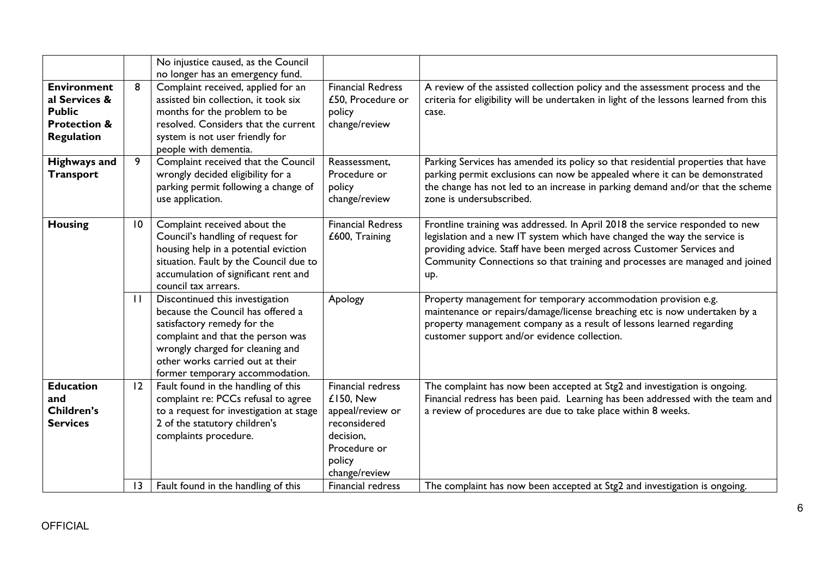|                                                                                                      |                 | No injustice caused, as the Council<br>no longer has an emergency fund.                                                                                                                                                                             |                                                                                                                            |                                                                                                                                                                                                                                                                                                                          |
|------------------------------------------------------------------------------------------------------|-----------------|-----------------------------------------------------------------------------------------------------------------------------------------------------------------------------------------------------------------------------------------------------|----------------------------------------------------------------------------------------------------------------------------|--------------------------------------------------------------------------------------------------------------------------------------------------------------------------------------------------------------------------------------------------------------------------------------------------------------------------|
| <b>Environment</b><br>al Services &<br><b>Public</b><br><b>Protection &amp;</b><br><b>Regulation</b> | 8               | Complaint received, applied for an<br>assisted bin collection, it took six<br>months for the problem to be<br>resolved. Considers that the current<br>system is not user friendly for<br>people with dementia.                                      | <b>Financial Redress</b><br>£50, Procedure or<br>policy<br>change/review                                                   | A review of the assisted collection policy and the assessment process and the<br>criteria for eligibility will be undertaken in light of the lessons learned from this<br>case.                                                                                                                                          |
| <b>Highways and</b><br><b>Transport</b>                                                              | 9               | Complaint received that the Council<br>wrongly decided eligibility for a<br>parking permit following a change of<br>use application.                                                                                                                | Reassessment,<br>Procedure or<br>policy<br>change/review                                                                   | Parking Services has amended its policy so that residential properties that have<br>parking permit exclusions can now be appealed where it can be demonstrated<br>the change has not led to an increase in parking demand and/or that the scheme<br>zone is undersubscribed.                                             |
| <b>Housing</b>                                                                                       | $\overline{10}$ | Complaint received about the<br>Council's handling of request for<br>housing help in a potential eviction<br>situation. Fault by the Council due to<br>accumulation of significant rent and<br>council tax arrears.                                 | <b>Financial Redress</b><br>£600, Training                                                                                 | Frontline training was addressed. In April 2018 the service responded to new<br>legislation and a new IT system which have changed the way the service is<br>providing advice. Staff have been merged across Customer Services and<br>Community Connections so that training and processes are managed and joined<br>up. |
|                                                                                                      | $\mathbf{H}$    | Discontinued this investigation<br>because the Council has offered a<br>satisfactory remedy for the<br>complaint and that the person was<br>wrongly charged for cleaning and<br>other works carried out at their<br>former temporary accommodation. | Apology                                                                                                                    | Property management for temporary accommodation provision e.g.<br>maintenance or repairs/damage/license breaching etc is now undertaken by a<br>property management company as a result of lessons learned regarding<br>customer support and/or evidence collection.                                                     |
| <b>Education</b><br>and<br><b>Children's</b><br><b>Services</b>                                      | 12              | Fault found in the handling of this<br>complaint re: PCCs refusal to agree<br>to a request for investigation at stage<br>2 of the statutory children's<br>complaints procedure.                                                                     | Financial redress<br>£150, New<br>appeal/review or<br>reconsidered<br>decision,<br>Procedure or<br>policy<br>change/review | The complaint has now been accepted at Stg2 and investigation is ongoing.<br>Financial redress has been paid. Learning has been addressed with the team and<br>a review of procedures are due to take place within 8 weeks.                                                                                              |
|                                                                                                      | 13              | Fault found in the handling of this                                                                                                                                                                                                                 | Financial redress                                                                                                          | The complaint has now been accepted at Stg2 and investigation is ongoing.                                                                                                                                                                                                                                                |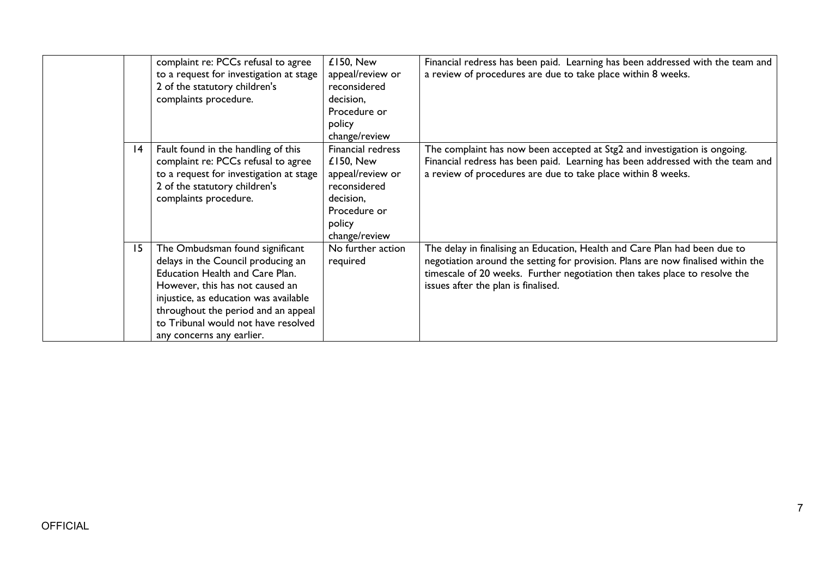|    | complaint re: PCCs refusal to agree<br>to a request for investigation at stage<br>2 of the statutory children's<br>complaints procedure.                                                                                                                                                               | £150, New<br>appeal/review or<br>reconsidered<br>decision,<br>Procedure or<br>policy<br>change/review                             | Financial redress has been paid. Learning has been addressed with the team and<br>a review of procedures are due to take place within 8 weeks.                                                                                                                                      |
|----|--------------------------------------------------------------------------------------------------------------------------------------------------------------------------------------------------------------------------------------------------------------------------------------------------------|-----------------------------------------------------------------------------------------------------------------------------------|-------------------------------------------------------------------------------------------------------------------------------------------------------------------------------------------------------------------------------------------------------------------------------------|
| 14 | Fault found in the handling of this<br>complaint re: PCCs refusal to agree<br>to a request for investigation at stage<br>2 of the statutory children's<br>complaints procedure.                                                                                                                        | <b>Financial redress</b><br>£150, New<br>appeal/review or<br>reconsidered<br>decision,<br>Procedure or<br>policy<br>change/review | The complaint has now been accepted at Stg2 and investigation is ongoing.<br>Financial redress has been paid. Learning has been addressed with the team and<br>a review of procedures are due to take place within 8 weeks.                                                         |
| 15 | The Ombudsman found significant<br>delays in the Council producing an<br><b>Education Health and Care Plan.</b><br>However, this has not caused an<br>injustice, as education was available<br>throughout the period and an appeal<br>to Tribunal would not have resolved<br>any concerns any earlier. | No further action<br>required                                                                                                     | The delay in finalising an Education, Health and Care Plan had been due to<br>negotiation around the setting for provision. Plans are now finalised within the<br>timescale of 20 weeks. Further negotiation then takes place to resolve the<br>issues after the plan is finalised. |

7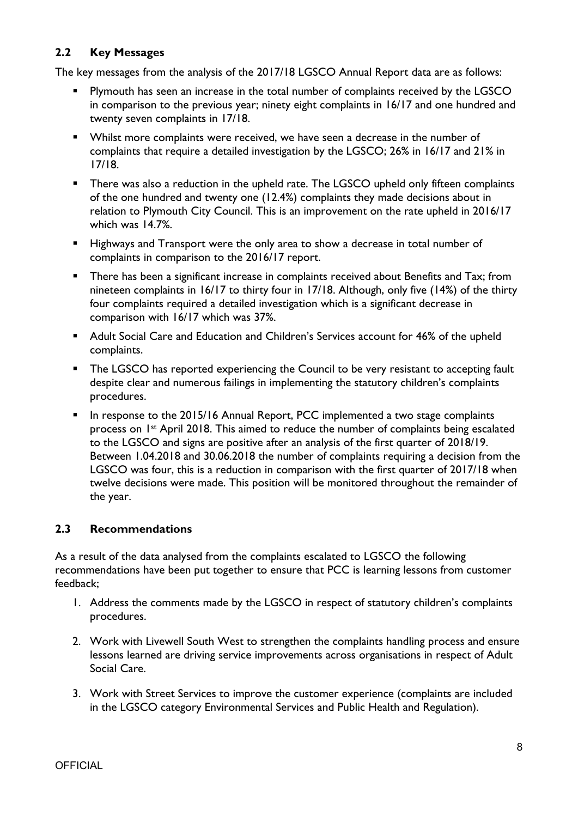### **2.2 Key Messages**

The key messages from the analysis of the 2017/18 LGSCO Annual Report data are as follows:

- **Plymouth has seen an increase in the total number of complaints received by the LGSCO** in comparison to the previous year; ninety eight complaints in 16/17 and one hundred and twenty seven complaints in 17/18.
- Whilst more complaints were received, we have seen a decrease in the number of complaints that require a detailed investigation by the LGSCO; 26% in 16/17 and 21% in 17/18.
- **There was also a reduction in the upheld rate. The LGSCO upheld only fifteen complaints** of the one hundred and twenty one (12.4%) complaints they made decisions about in relation to Plymouth City Council. This is an improvement on the rate upheld in 2016/17 which was 14.7%.
- Highways and Transport were the only area to show a decrease in total number of complaints in comparison to the 2016/17 report.
- **There has been a significant increase in complaints received about Benefits and Tax; from** nineteen complaints in 16/17 to thirty four in 17/18. Although, only five (14%) of the thirty four complaints required a detailed investigation which is a significant decrease in comparison with 16/17 which was 37%.
- Adult Social Care and Education and Children's Services account for 46% of the upheld complaints.
- The LGSCO has reported experiencing the Council to be very resistant to accepting fault despite clear and numerous failings in implementing the statutory children's complaints procedures.
- **In response to the 2015/16 Annual Report, PCC implemented a two stage complaints** process on 1<sup>st</sup> April 2018. This aimed to reduce the number of complaints being escalated to the LGSCO and signs are positive after an analysis of the first quarter of 2018/19. Between 1.04.2018 and 30.06.2018 the number of complaints requiring a decision from the LGSCO was four, this is a reduction in comparison with the first quarter of 2017/18 when twelve decisions were made. This position will be monitored throughout the remainder of the year.

### **2.3 Recommendations**

As a result of the data analysed from the complaints escalated to LGSCO the following recommendations have been put together to ensure that PCC is learning lessons from customer feedback;

- 1. Address the comments made by the LGSCO in respect of statutory children's complaints procedures.
- 2. Work with Livewell South West to strengthen the complaints handling process and ensure lessons learned are driving service improvements across organisations in respect of Adult Social Care.
- 3. Work with Street Services to improve the customer experience (complaints are included in the LGSCO category Environmental Services and Public Health and Regulation).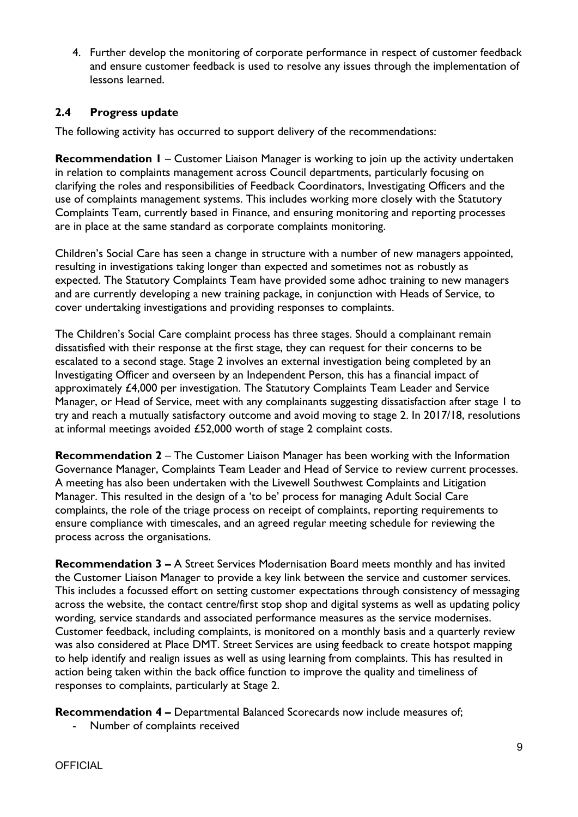4. Further develop the monitoring of corporate performance in respect of customer feedback and ensure customer feedback is used to resolve any issues through the implementation of lessons learned.

### **2.4 Progress update**

The following activity has occurred to support delivery of the recommendations:

**Recommendation 1** – Customer Liaison Manager is working to join up the activity undertaken in relation to complaints management across Council departments, particularly focusing on clarifying the roles and responsibilities of Feedback Coordinators, Investigating Officers and the use of complaints management systems. This includes working more closely with the Statutory Complaints Team, currently based in Finance, and ensuring monitoring and reporting processes are in place at the same standard as corporate complaints monitoring.

Children's Social Care has seen a change in structure with a number of new managers appointed, resulting in investigations taking longer than expected and sometimes not as robustly as expected. The Statutory Complaints Team have provided some adhoc training to new managers and are currently developing a new training package, in conjunction with Heads of Service, to cover undertaking investigations and providing responses to complaints.

The Children's Social Care complaint process has three stages. Should a complainant remain dissatisfied with their response at the first stage, they can request for their concerns to be escalated to a second stage. Stage 2 involves an external investigation being completed by an Investigating Officer and overseen by an Independent Person, this has a financial impact of approximately £4,000 per investigation. The Statutory Complaints Team Leader and Service Manager, or Head of Service, meet with any complainants suggesting dissatisfaction after stage 1 to try and reach a mutually satisfactory outcome and avoid moving to stage 2. In 2017/18, resolutions at informal meetings avoided £52,000 worth of stage 2 complaint costs.

**Recommendation 2** – The Customer Liaison Manager has been working with the Information Governance Manager, Complaints Team Leader and Head of Service to review current processes. A meeting has also been undertaken with the Livewell Southwest Complaints and Litigation Manager. This resulted in the design of a 'to be' process for managing Adult Social Care complaints, the role of the triage process on receipt of complaints, reporting requirements to ensure compliance with timescales, and an agreed regular meeting schedule for reviewing the process across the organisations.

**Recommendation 3 –** A Street Services Modernisation Board meets monthly and has invited the Customer Liaison Manager to provide a key link between the service and customer services. This includes a focussed effort on setting customer expectations through consistency of messaging across the website, the contact centre/first stop shop and digital systems as well as updating policy wording, service standards and associated performance measures as the service modernises. Customer feedback, including complaints, is monitored on a monthly basis and a quarterly review was also considered at Place DMT. Street Services are using feedback to create hotspot mapping to help identify and realign issues as well as using learning from complaints. This has resulted in action being taken within the back office function to improve the quality and timeliness of responses to complaints, particularly at Stage 2.

**Recommendation 4 –** Departmental Balanced Scorecards now include measures of;

- Number of complaints received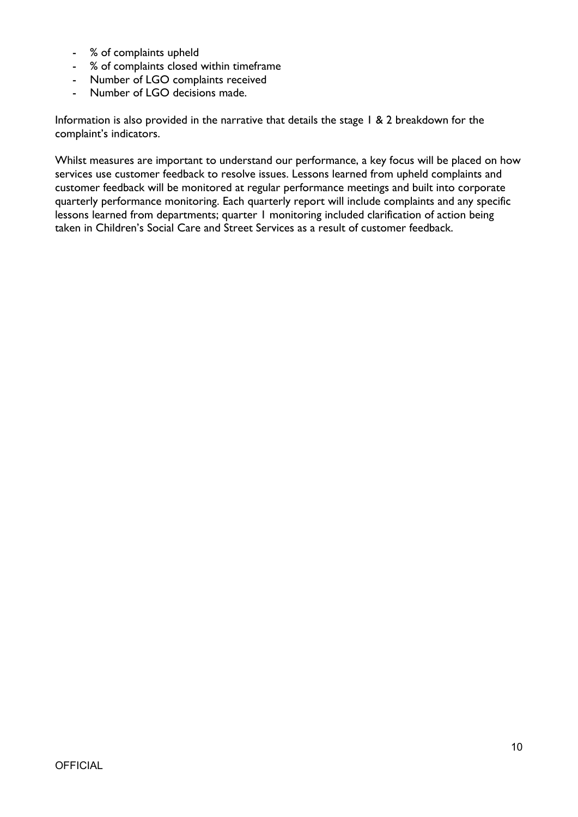- % of complaints upheld
- % of complaints closed within timeframe
- Number of LGO complaints received
- Number of LGO decisions made.

Information is also provided in the narrative that details the stage 1 & 2 breakdown for the complaint's indicators.

Whilst measures are important to understand our performance, a key focus will be placed on how services use customer feedback to resolve issues. Lessons learned from upheld complaints and customer feedback will be monitored at regular performance meetings and built into corporate quarterly performance monitoring. Each quarterly report will include complaints and any specific lessons learned from departments; quarter 1 monitoring included clarification of action being taken in Children's Social Care and Street Services as a result of customer feedback.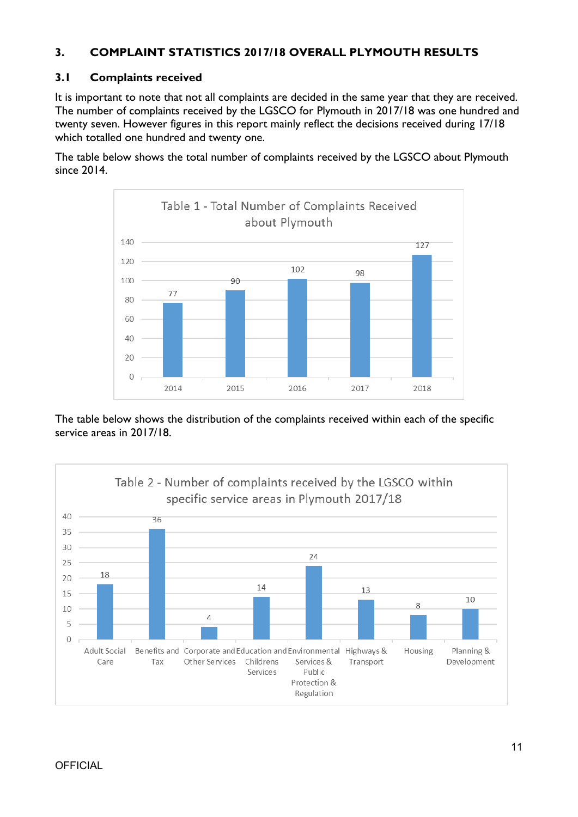### **3. COMPLAINT STATISTICS 2017/18 OVERALL PLYMOUTH RESULTS**

### **3.1 Complaints received**

It is important to note that not all complaints are decided in the same year that they are received. The number of complaints received by the LGSCO for Plymouth in 2017/18 was one hundred and twenty seven. However figures in this report mainly reflect the decisions received during 17/18 which totalled one hundred and twenty one.

The table below shows the total number of complaints received by the LGSCO about Plymouth since 2014.



The table below shows the distribution of the complaints received within each of the specific service areas in 2017/18.

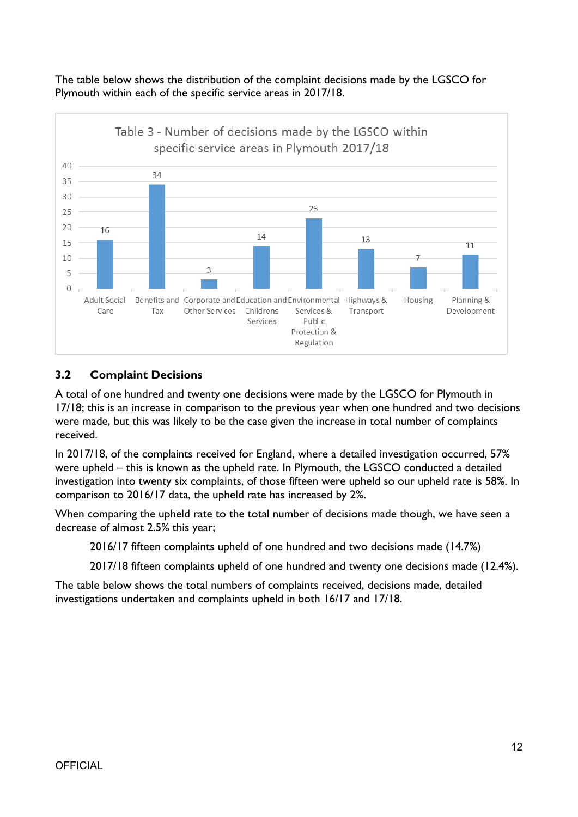The table below shows the distribution of the complaint decisions made by the LGSCO for Plymouth within each of the specific service areas in 2017/18.



### **3.2 Complaint Decisions**

A total of one hundred and twenty one decisions were made by the LGSCO for Plymouth in 17/18; this is an increase in comparison to the previous year when one hundred and two decisions were made, but this was likely to be the case given the increase in total number of complaints received.

In 2017/18, of the complaints received for England, where a detailed investigation occurred, 57% were upheld – this is known as the upheld rate. In Plymouth, the LGSCO conducted a detailed investigation into twenty six complaints, of those fifteen were upheld so our upheld rate is 58%. In comparison to 2016/17 data, the upheld rate has increased by 2%.

When comparing the upheld rate to the total number of decisions made though, we have seen a decrease of almost 2.5% this year;

2016/17 fifteen complaints upheld of one hundred and two decisions made (14.7%)

2017/18 fifteen complaints upheld of one hundred and twenty one decisions made (12.4%).

The table below shows the total numbers of complaints received, decisions made, detailed investigations undertaken and complaints upheld in both 16/17 and 17/18.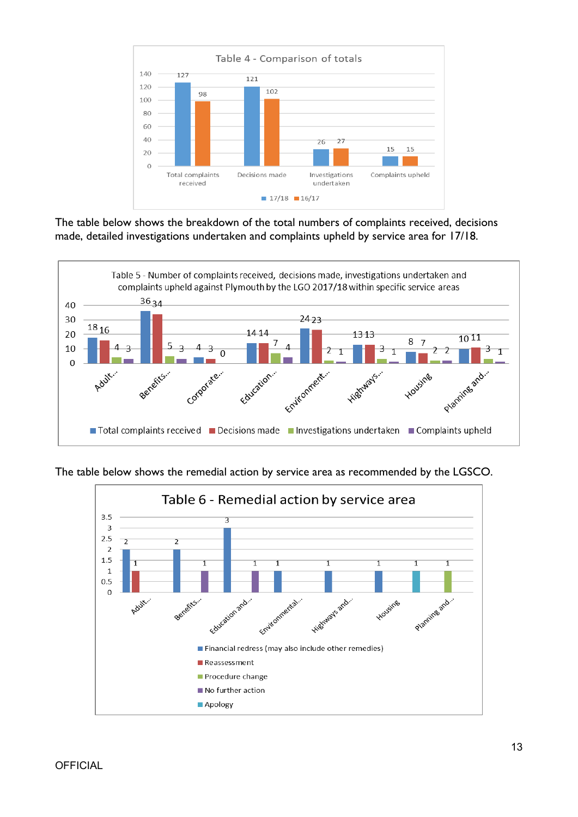

The table below shows the breakdown of the total numbers of complaints received, decisions made, detailed investigations undertaken and complaints upheld by service area for 17/18.



The table below shows the remedial action by service area as recommended by the LGSCO.

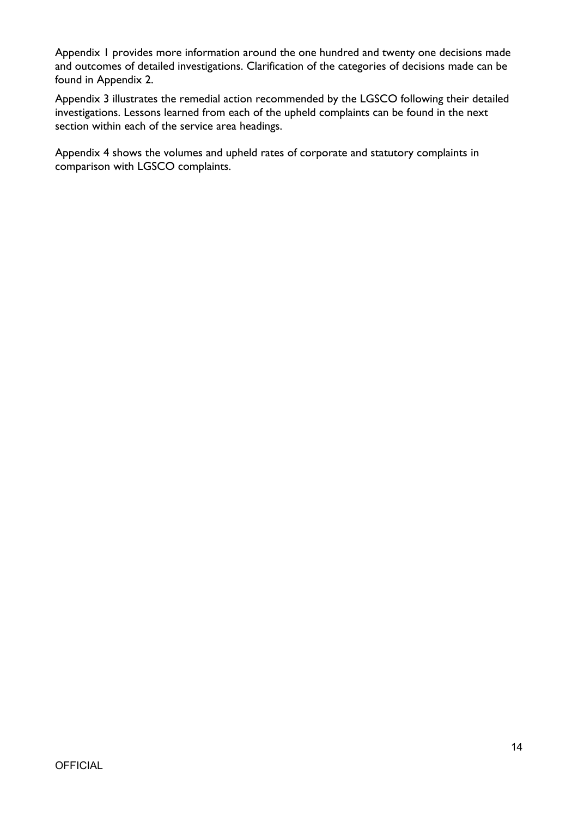Appendix 1 provides more information around the one hundred and twenty one decisions made and outcomes of detailed investigations. Clarification of the categories of decisions made can be found in Appendix 2.

Appendix 3 illustrates the remedial action recommended by the LGSCO following their detailed investigations. Lessons learned from each of the upheld complaints can be found in the next section within each of the service area headings.

Appendix 4 shows the volumes and upheld rates of corporate and statutory complaints in comparison with LGSCO complaints.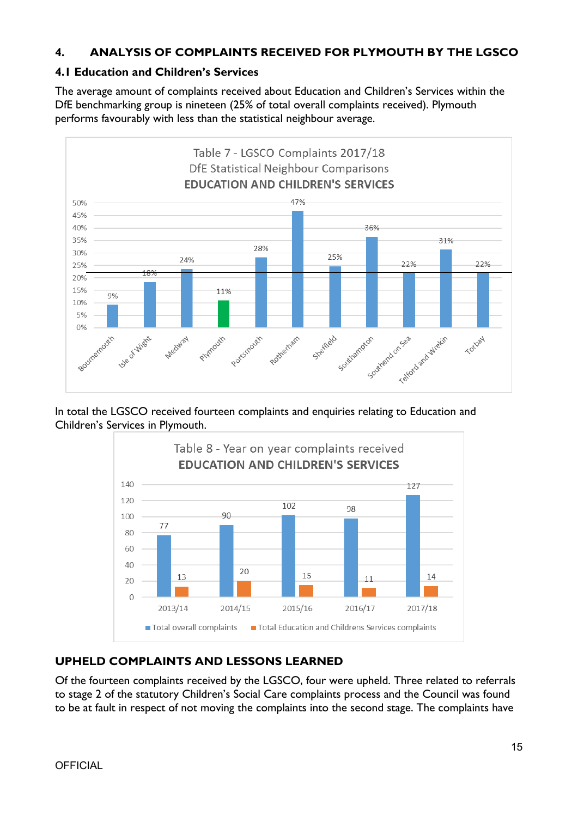### **4. ANALYSIS OF COMPLAINTS RECEIVED FOR PLYMOUTH BY THE LGSCO**

#### **4.1 Education and Children's Services**

The average amount of complaints received about Education and Children's Services within the DfE benchmarking group is nineteen (25% of total overall complaints received). Plymouth performs favourably with less than the statistical neighbour average.



In total the LGSCO received fourteen complaints and enquiries relating to Education and Children's Services in Plymouth.



### **UPHELD COMPLAINTS AND LESSONS LEARNED**

Of the fourteen complaints received by the LGSCO, four were upheld. Three related to referrals to stage 2 of the statutory Children's Social Care complaints process and the Council was found to be at fault in respect of not moving the complaints into the second stage. The complaints have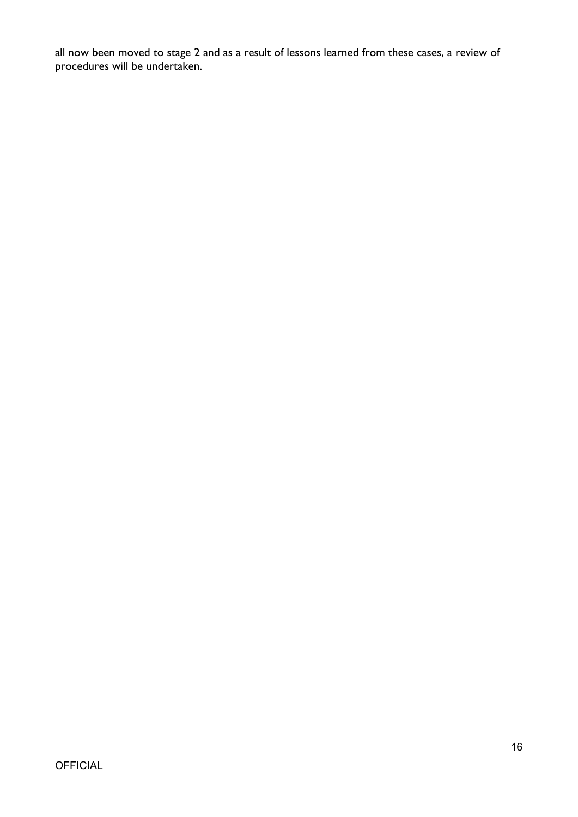all now been moved to stage 2 and as a result of lessons learned from these cases, a review of procedures will be undertaken.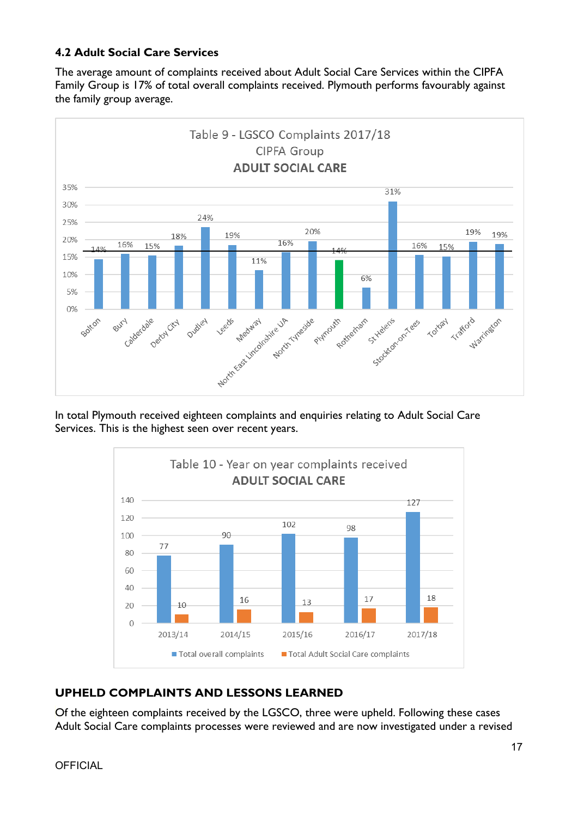### **4.2 Adult Social Care Services**

The average amount of complaints received about Adult Social Care Services within the CIPFA Family Group is 17% of total overall complaints received. Plymouth performs favourably against the family group average.



In total Plymouth received eighteen complaints and enquiries relating to Adult Social Care Services. This is the highest seen over recent years.



### **UPHELD COMPLAINTS AND LESSONS LEARNED**

Of the eighteen complaints received by the LGSCO, three were upheld. Following these cases Adult Social Care complaints processes were reviewed and are now investigated under a revised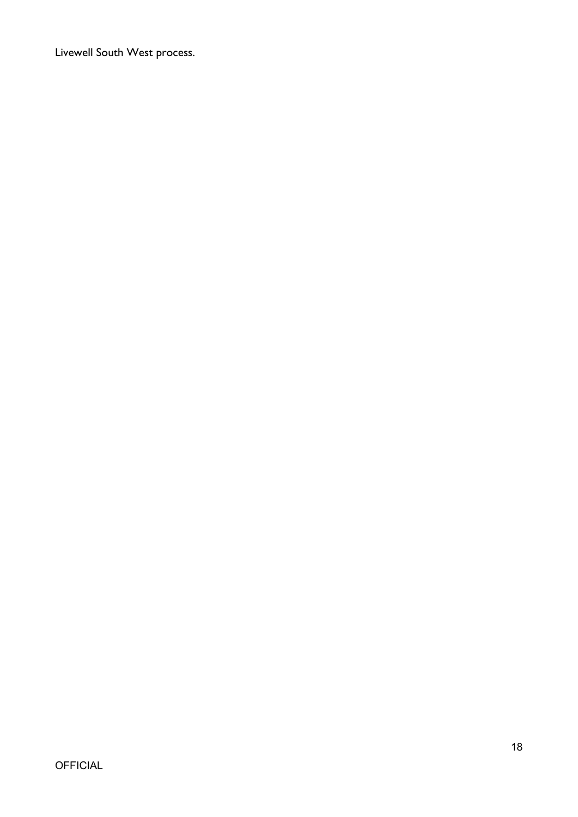Livewell South West process.

# **OFFICIAL**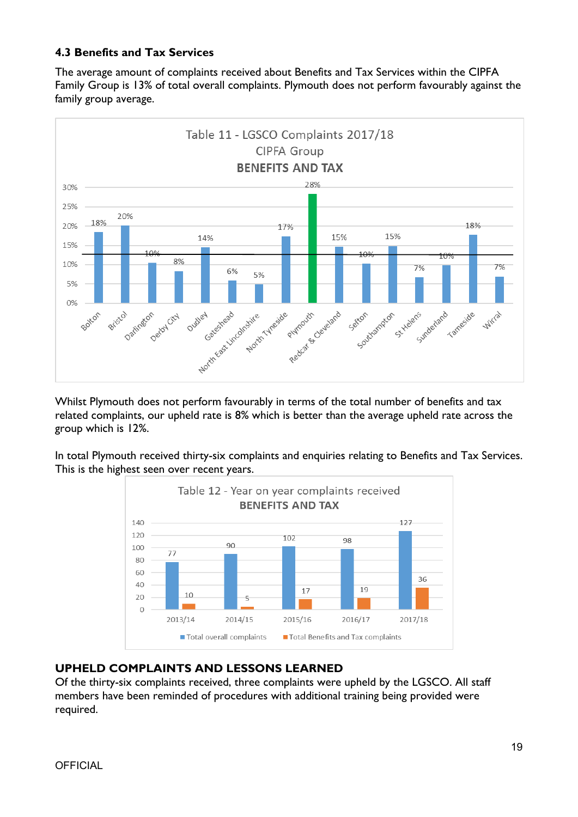### **4.3 Benefits and Tax Services**

The average amount of complaints received about Benefits and Tax Services within the CIPFA Family Group is 13% of total overall complaints. Plymouth does not perform favourably against the family group average.



Whilst Plymouth does not perform favourably in terms of the total number of benefits and tax related complaints, our upheld rate is 8% which is better than the average upheld rate across the group which is 12%.

In total Plymouth received thirty-six complaints and enquiries relating to Benefits and Tax Services. This is the highest seen over recent years.



#### **UPHELD COMPLAINTS AND LESSONS LEARNED**

Of the thirty-six complaints received, three complaints were upheld by the LGSCO. All staff members have been reminded of procedures with additional training being provided were required.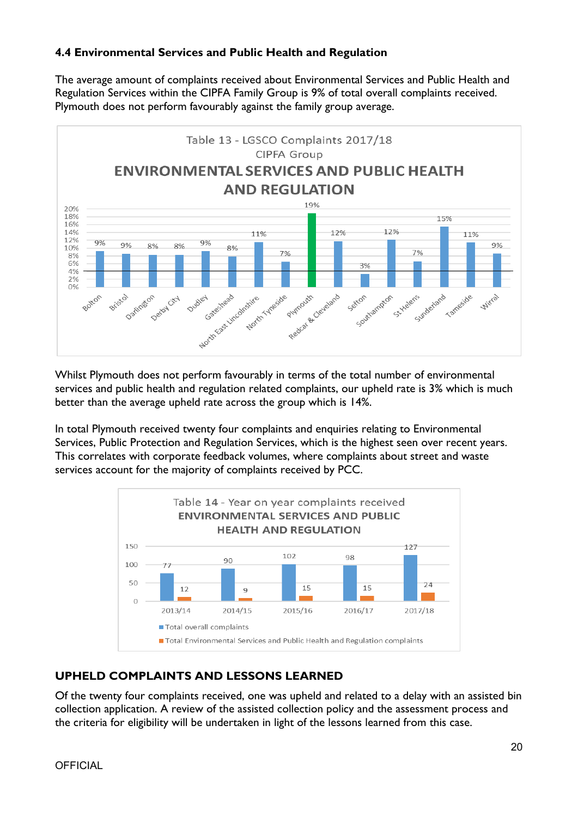### **4.4 Environmental Services and Public Health and Regulation**

The average amount of complaints received about Environmental Services and Public Health and Regulation Services within the CIPFA Family Group is 9% of total overall complaints received. Plymouth does not perform favourably against the family group average.



Whilst Plymouth does not perform favourably in terms of the total number of environmental services and public health and regulation related complaints, our upheld rate is 3% which is much better than the average upheld rate across the group which is 14%.

In total Plymouth received twenty four complaints and enquiries relating to Environmental Services, Public Protection and Regulation Services, which is the highest seen over recent years. This correlates with corporate feedback volumes, where complaints about street and waste services account for the majority of complaints received by PCC.



### **UPHELD COMPLAINTS AND LESSONS LEARNED**

Of the twenty four complaints received, one was upheld and related to a delay with an assisted bin collection application. A review of the assisted collection policy and the assessment process and the criteria for eligibility will be undertaken in light of the lessons learned from this case.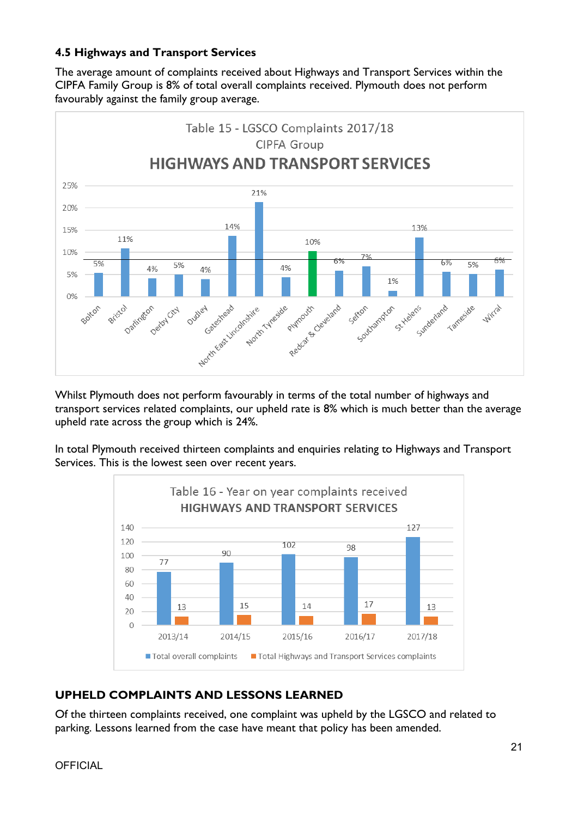### **4.5 Highways and Transport Services**

The average amount of complaints received about Highways and Transport Services within the CIPFA Family Group is 8% of total overall complaints received. Plymouth does not perform favourably against the family group average.



Whilst Plymouth does not perform favourably in terms of the total number of highways and transport services related complaints, our upheld rate is 8% which is much better than the average upheld rate across the group which is 24%.

In total Plymouth received thirteen complaints and enquiries relating to Highways and Transport Services. This is the lowest seen over recent years.



# **UPHELD COMPLAINTS AND LESSONS LEARNED**

Of the thirteen complaints received, one complaint was upheld by the LGSCO and related to parking. Lessons learned from the case have meant that policy has been amended.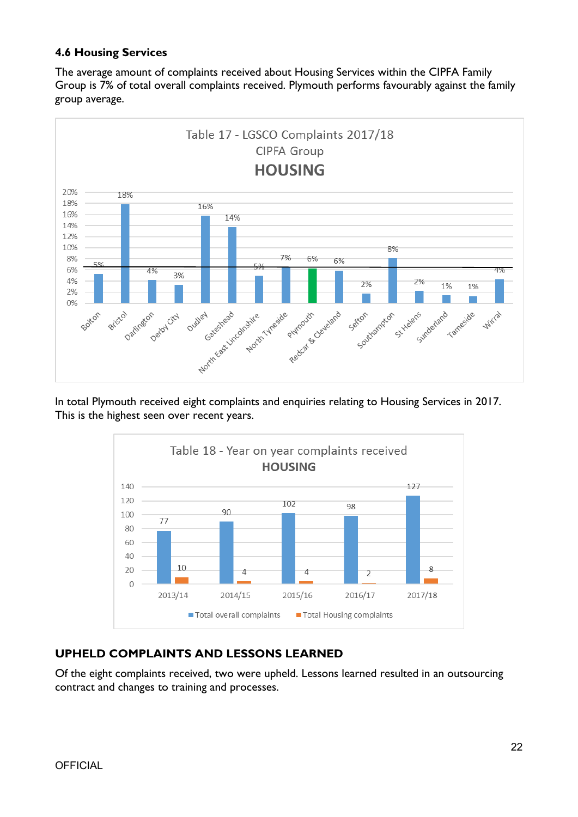### **4.6 Housing Services**

The average amount of complaints received about Housing Services within the CIPFA Family Group is 7% of total overall complaints received. Plymouth performs favourably against the family group average.



In total Plymouth received eight complaints and enquiries relating to Housing Services in 2017. This is the highest seen over recent years.



# **UPHELD COMPLAINTS AND LESSONS LEARNED**

Of the eight complaints received, two were upheld. Lessons learned resulted in an outsourcing contract and changes to training and processes.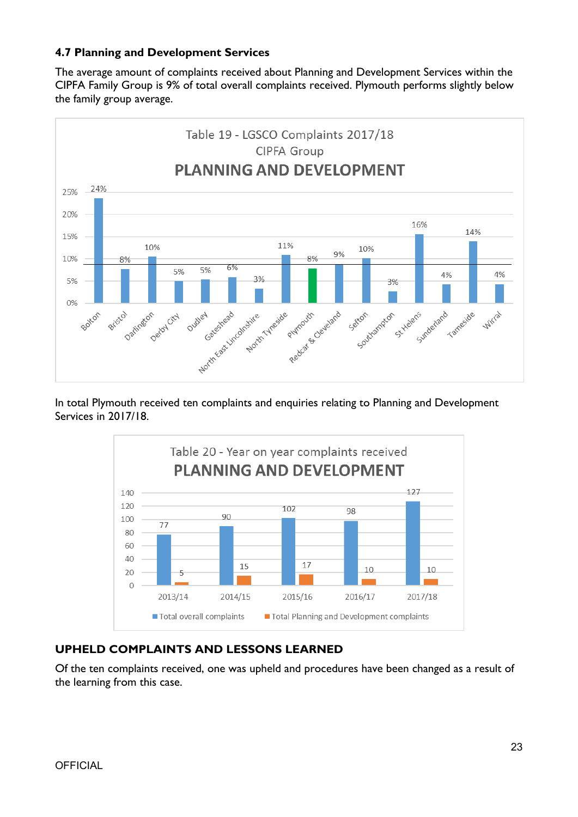### **4.7 Planning and Development Services**

The average amount of complaints received about Planning and Development Services within the CIPFA Family Group is 9% of total overall complaints received. Plymouth performs slightly below the family group average.



In total Plymouth received ten complaints and enquiries relating to Planning and Development Services in 2017/18.



### **UPHELD COMPLAINTS AND LESSONS LEARNED**

Of the ten complaints received, one was upheld and procedures have been changed as a result of the learning from this case.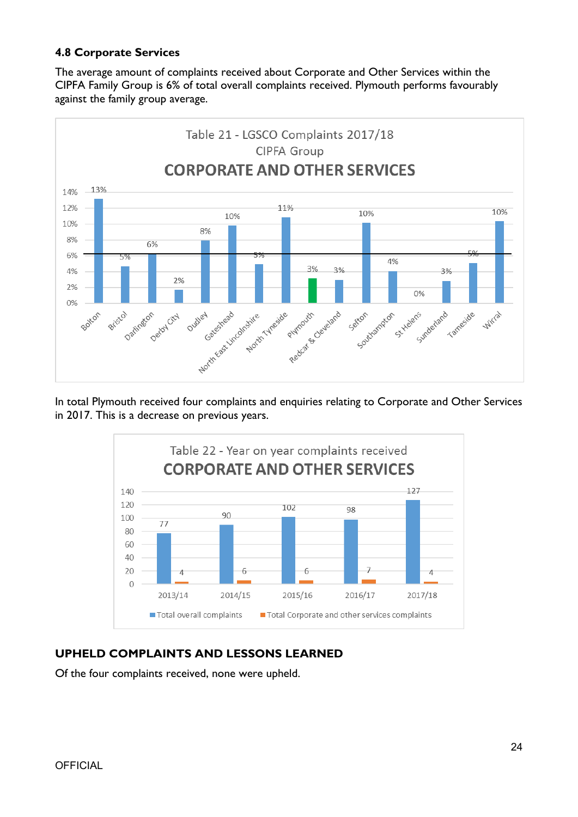### **4.8 Corporate Services**

The average amount of complaints received about Corporate and Other Services within the CIPFA Family Group is 6% of total overall complaints received. Plymouth performs favourably against the family group average.



In total Plymouth received four complaints and enquiries relating to Corporate and Other Services in 2017. This is a decrease on previous years.



### **UPHELD COMPLAINTS AND LESSONS LEARNED**

Of the four complaints received, none were upheld.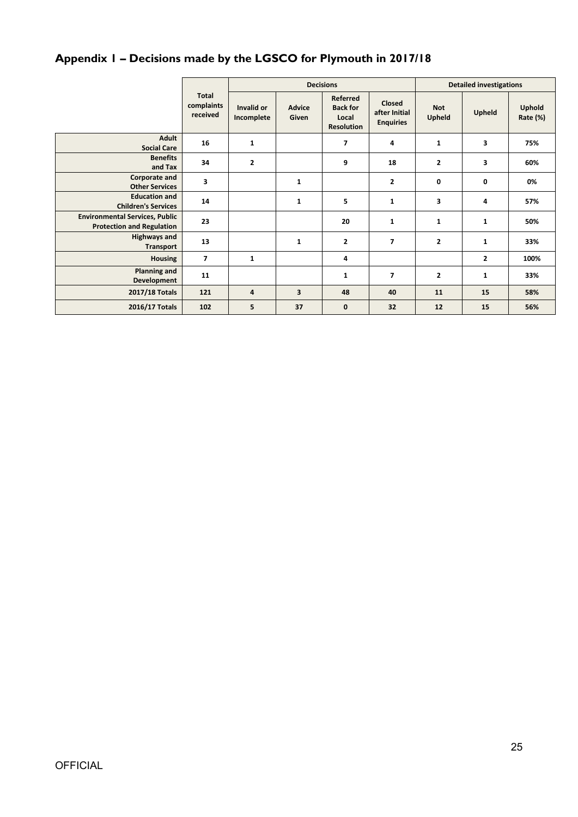# **Appendix 1 – Decisions made by the LGSCO for Plymouth in 2017/18**

|                                                                           |                                        | <b>Decisions</b>         |                        |                                                           |                                                    | <b>Detailed investigations</b> |                |                    |  |
|---------------------------------------------------------------------------|----------------------------------------|--------------------------|------------------------|-----------------------------------------------------------|----------------------------------------------------|--------------------------------|----------------|--------------------|--|
|                                                                           | <b>Total</b><br>complaints<br>received | Invalid or<br>Incomplete | <b>Advice</b><br>Given | Referred<br><b>Back for</b><br>Local<br><b>Resolution</b> | <b>Closed</b><br>after Initial<br><b>Enquiries</b> | <b>Not</b><br>Upheld           | Upheld         | Uphold<br>Rate (%) |  |
| <b>Adult</b><br><b>Social Care</b>                                        | 16                                     | $\mathbf{1}$             |                        | $\overline{7}$                                            | 4                                                  | $\mathbf{1}$                   | 3              | 75%                |  |
| <b>Benefits</b><br>and Tax                                                | 34                                     | $\overline{2}$           |                        | 9                                                         | 18                                                 | $\mathbf{2}$                   | 3              | 60%                |  |
| Corporate and<br><b>Other Services</b>                                    | 3                                      |                          | $\mathbf{1}$           |                                                           | $\mathbf{2}$                                       | 0                              | 0              | 0%                 |  |
| <b>Education and</b><br><b>Children's Services</b>                        | 14                                     |                          | $\mathbf{1}$           | 5                                                         | $\mathbf{1}$                                       | 3                              | 4              | 57%                |  |
| <b>Environmental Services, Public</b><br><b>Protection and Regulation</b> | 23                                     |                          |                        | 20                                                        | $\mathbf{1}$                                       | $\mathbf{1}$                   | $\mathbf{1}$   | 50%                |  |
| <b>Highways and</b><br>Transport                                          | 13                                     |                          | $\mathbf{1}$           | $\overline{2}$                                            | $\overline{7}$                                     | $\mathbf{2}$                   | 1              | 33%                |  |
| <b>Housing</b>                                                            | $\overline{7}$                         | $\mathbf{1}$             |                        | 4                                                         |                                                    |                                | $\overline{2}$ | 100%               |  |
| <b>Planning and</b><br><b>Development</b>                                 | 11                                     |                          |                        | $\mathbf{1}$                                              | $\overline{7}$                                     | $\overline{2}$                 | $\mathbf{1}$   | 33%                |  |
| 2017/18 Totals                                                            | 121                                    | $\overline{4}$           | 3                      | 48                                                        | 40                                                 | 11                             | 15             | 58%                |  |
| 2016/17 Totals                                                            | 102                                    | 5                        | 37                     | $\bf{0}$                                                  | 32                                                 | 12                             | 15             | 56%                |  |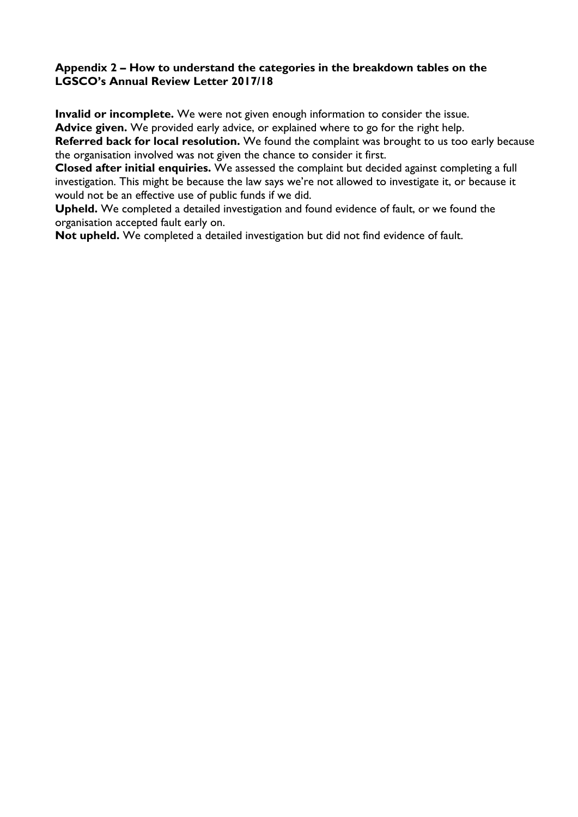#### **Appendix 2 – How to understand the categories in the breakdown tables on the LGSCO's Annual Review Letter 2017/18**

**Invalid or incomplete.** We were not given enough information to consider the issue. **Advice given.** We provided early advice, or explained where to go for the right help.

**Referred back for local resolution.** We found the complaint was brought to us too early because the organisation involved was not given the chance to consider it first.

**Closed after initial enquiries.** We assessed the complaint but decided against completing a full investigation. This might be because the law says we're not allowed to investigate it, or because it would not be an effective use of public funds if we did.

**Upheld.** We completed a detailed investigation and found evidence of fault, or we found the organisation accepted fault early on.

**Not upheld.** We completed a detailed investigation but did not find evidence of fault.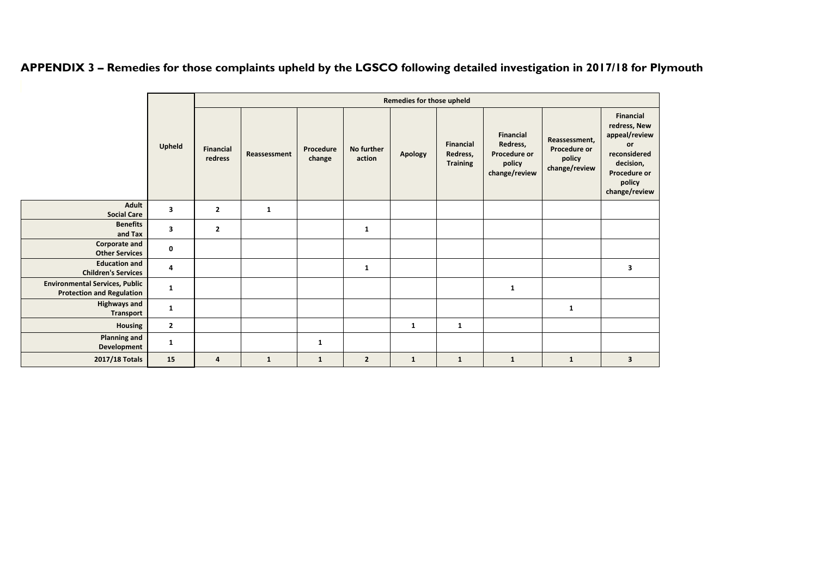|                                                                           |                | Remedies for those upheld   |              |                     |                      |              |                                                 |                                                                         |                                                          |                                                                                                                                        |  |
|---------------------------------------------------------------------------|----------------|-----------------------------|--------------|---------------------|----------------------|--------------|-------------------------------------------------|-------------------------------------------------------------------------|----------------------------------------------------------|----------------------------------------------------------------------------------------------------------------------------------------|--|
|                                                                           | Upheld         | <b>Financial</b><br>redress | Reassessment | Procedure<br>change | No further<br>action | Apology      | <b>Financial</b><br>Redress,<br><b>Training</b> | <b>Financial</b><br>Redress,<br>Procedure or<br>policy<br>change/review | Reassessment,<br>Procedure or<br>policy<br>change/review | <b>Financial</b><br>redress, New<br>appeal/review<br><b>or</b><br>reconsidered<br>decision,<br>Procedure or<br>policy<br>change/review |  |
| Adult<br><b>Social Care</b>                                               | 3              | $\overline{2}$              | $\mathbf{1}$ |                     |                      |              |                                                 |                                                                         |                                                          |                                                                                                                                        |  |
| <b>Benefits</b><br>and Tax                                                | 3              | $\overline{2}$              |              |                     | $\mathbf{1}$         |              |                                                 |                                                                         |                                                          |                                                                                                                                        |  |
| Corporate and<br><b>Other Services</b>                                    | $\mathbf 0$    |                             |              |                     |                      |              |                                                 |                                                                         |                                                          |                                                                                                                                        |  |
| <b>Education and</b><br><b>Children's Services</b>                        | 4              |                             |              |                     | $\mathbf{1}$         |              |                                                 |                                                                         |                                                          | 3                                                                                                                                      |  |
| <b>Environmental Services, Public</b><br><b>Protection and Regulation</b> | $\mathbf{1}$   |                             |              |                     |                      |              |                                                 | $\mathbf{1}$                                                            |                                                          |                                                                                                                                        |  |
| <b>Highways and</b><br><b>Transport</b>                                   | $\mathbf{1}$   |                             |              |                     |                      |              |                                                 |                                                                         | $\mathbf{1}$                                             |                                                                                                                                        |  |
| <b>Housing</b>                                                            | $\overline{2}$ |                             |              |                     |                      | $\mathbf{1}$ | $\mathbf{1}$                                    |                                                                         |                                                          |                                                                                                                                        |  |
| <b>Planning and</b><br>Development                                        | $\mathbf{1}$   |                             |              | $\mathbf{1}$        |                      |              |                                                 |                                                                         |                                                          |                                                                                                                                        |  |
| 2017/18 Totals                                                            | 15             | 4                           | $\mathbf{1}$ | $\mathbf{1}$        | $\overline{2}$       | $\mathbf{1}$ | $\mathbf{1}$                                    | $\mathbf{1}$                                                            | $\mathbf{1}$                                             | $\overline{\mathbf{3}}$                                                                                                                |  |

APPENDIX 3 - Remedies for those complaints upheld by the LGSCO following detailed investigation in 2017/18 for Plymouth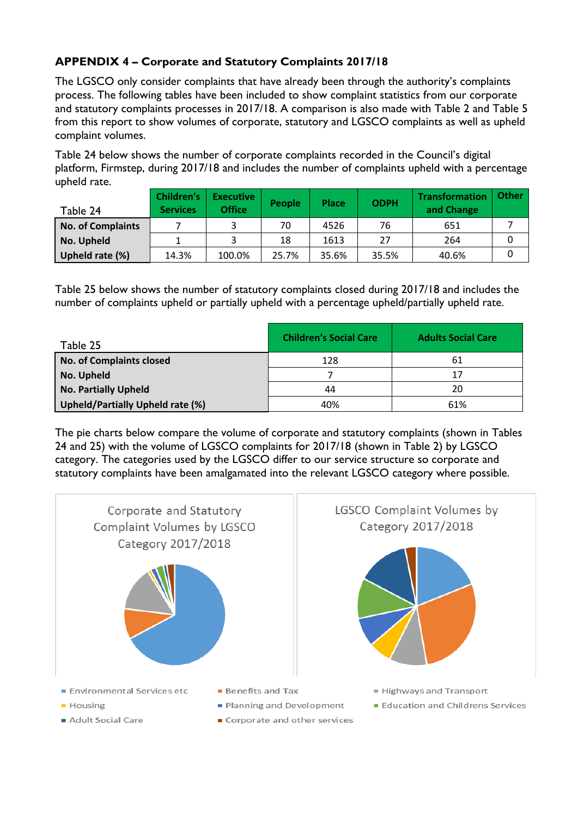# **APPENDIX 4 – Corporate and Statutory Complaints 2017/18**

The LGSCO only consider complaints that have already been through the authority's complaints process. The following tables have been included to show complaint statistics from our corporate and statutory complaints processes in 2017/18. A comparison is also made with Table 2 and Table 5 from this report to show volumes of corporate, statutory and LGSCO complaints as well as upheld complaint volumes.

Table 24 below shows the number of corporate complaints recorded in the Council's digital platform, Firmstep, during 2017/18 and includes the number of complaints upheld with a percentage upheld rate.

| Table 24                 | <b>Children's</b><br><b>Services</b> | <b>Executive</b><br><b>Office</b> | People | <b>Place</b> | <b>ODPH</b> | Transformation<br>and Change | Other |
|--------------------------|--------------------------------------|-----------------------------------|--------|--------------|-------------|------------------------------|-------|
| <b>No. of Complaints</b> |                                      |                                   | 70     | 4526         | 76          | 651                          |       |
| No. Upheld               |                                      |                                   | 18     | 1613         | 27          | 264                          |       |
| Upheld rate (%)          | 14.3%                                | 100.0%                            | 25.7%  | 35.6%        | 35.5%       | 40.6%                        |       |

Table 25 below shows the number of statutory complaints closed during 2017/18 and includes the number of complaints upheld or partially upheld with a percentage upheld/partially upheld rate.

| Table 25                         | <b>Children's Social Care</b> | <b>Adults Social Care</b> |
|----------------------------------|-------------------------------|---------------------------|
| No. of Complaints closed         | 128                           | 61                        |
| No. Upheld                       |                               | 17                        |
| No. Partially Upheld             | 44                            | 20                        |
| Upheld/Partially Upheld rate (%) | 40%                           | 61%                       |

The pie charts below compare the volume of corporate and statutory complaints (shown in Tables 24 and 25) with the volume of LGSCO complaints for 2017/18 (shown in Table 2) by LGSCO category. The categories used by the LGSCO differ to our service structure so corporate and statutory complaints have been amalgamated into the relevant LGSCO category where possible.



- Environmental Services etc
- $\blacksquare$  Housing
- Adult Social Care
- **Benefits and Tax**
- Planning and Development
- Corporate and other services
- Highways and Transport
- Education and Childrens Services